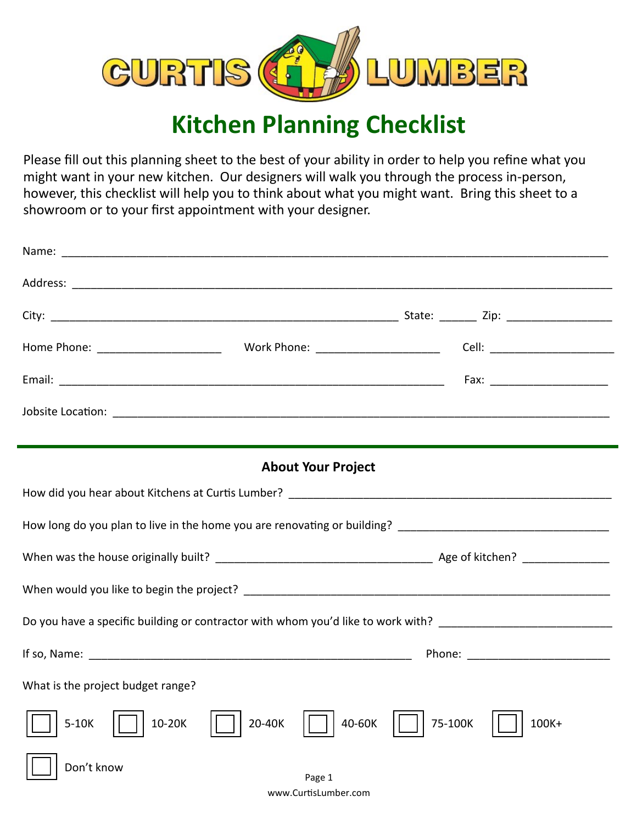

## **Kitchen Planning Checklist**

Please fill out this planning sheet to the best of your ability in order to help you refine what you might want in your new kitchen. Our designers will walk you through the process in-person, however, this checklist will help you to think about what you might want. Bring this sheet to a showroom or to your first appointment with your designer.

|                                                                                                                | <b>About Your Project</b> |                  |  |
|----------------------------------------------------------------------------------------------------------------|---------------------------|------------------|--|
|                                                                                                                |                           |                  |  |
|                                                                                                                |                           |                  |  |
|                                                                                                                |                           |                  |  |
|                                                                                                                |                           |                  |  |
| Do you have a specific building or contractor with whom you'd like to work with? _____________________________ |                           |                  |  |
|                                                                                                                |                           |                  |  |
| What is the project budget range?                                                                              |                           |                  |  |
| 10-20K<br>$5-10K$                                                                                              | 40-60K<br>20-40K          | 75-100K<br>100K+ |  |
| Don't know                                                                                                     | Page 1                    |                  |  |
|                                                                                                                | www.CurtisLumber.com      |                  |  |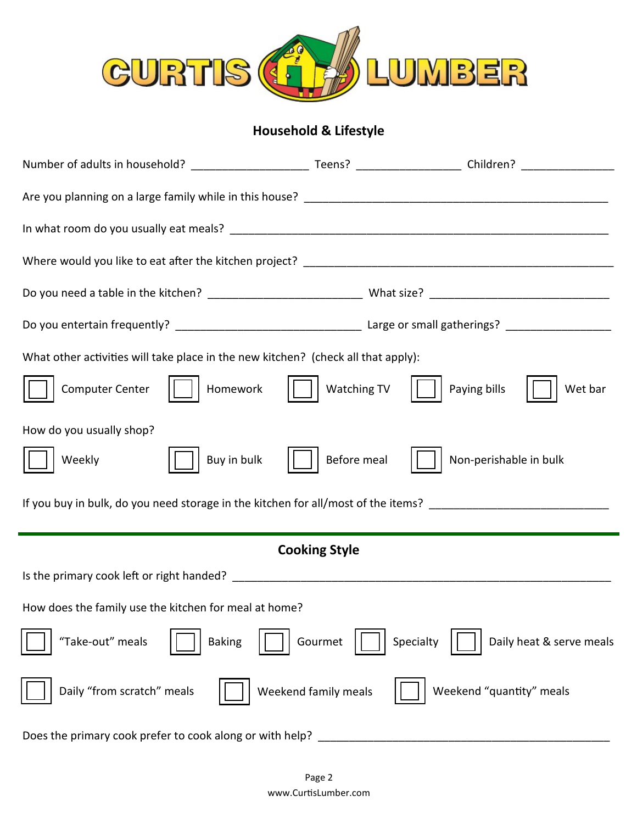

## **Household & Lifestyle**

| What other activities will take place in the new kitchen? (check all that apply):                                                                                                                                                                                                                                                                                                        |                         |  |  |
|------------------------------------------------------------------------------------------------------------------------------------------------------------------------------------------------------------------------------------------------------------------------------------------------------------------------------------------------------------------------------------------|-------------------------|--|--|
| $\begin{bmatrix} \begin{bmatrix} \begin{bmatrix} 1 & 1 \end{bmatrix} & \begin{bmatrix} 1 & 1 \end{bmatrix} & \begin{bmatrix} 1 & 1 \end{bmatrix} & \begin{bmatrix} 1 & 1 \end{bmatrix} \\ \begin{bmatrix} 1 & 1 \end{bmatrix} & \begin{bmatrix} 1 & 1 \end{bmatrix} & \begin{bmatrix} 1 & 1 \end{bmatrix} & \begin{bmatrix} 1 & 1 \end{bmatrix} \end{bmatrix}$<br><b>Computer Center</b> | Paying bills<br>Wet bar |  |  |
| How do you usually shop?                                                                                                                                                                                                                                                                                                                                                                 |                         |  |  |
| Before meal<br>Buy in bulk<br>Weekly                                                                                                                                                                                                                                                                                                                                                     | Non-perishable in bulk  |  |  |
| If you buy in bulk, do you need storage in the kitchen for all/most of the items?                                                                                                                                                                                                                                                                                                        |                         |  |  |
| <b>Cooking Style</b>                                                                                                                                                                                                                                                                                                                                                                     |                         |  |  |
|                                                                                                                                                                                                                                                                                                                                                                                          |                         |  |  |
| How does the family use the kitchen for meal at home?                                                                                                                                                                                                                                                                                                                                    |                         |  |  |
| "Take-out" meals<br>Gourmet<br>Daily heat & serve meals<br>Specialty<br><b>Baking</b>                                                                                                                                                                                                                                                                                                    |                         |  |  |
| Weekend "quantity" meals<br>Daily "from scratch" meals<br>Weekend family meals                                                                                                                                                                                                                                                                                                           |                         |  |  |
| Does the primary cook prefer to cook along or with help?                                                                                                                                                                                                                                                                                                                                 |                         |  |  |